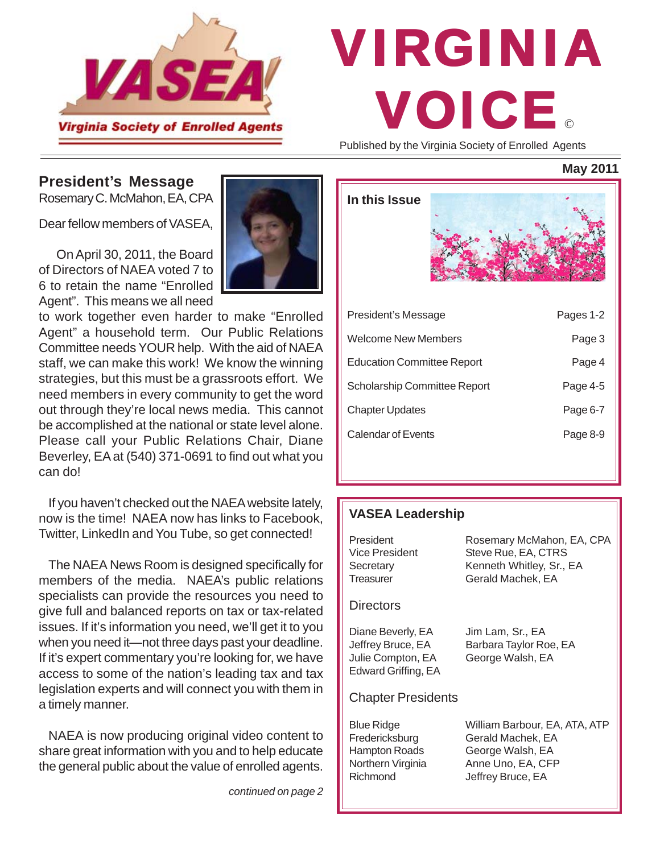

# © VIRGINIA VOICE

Published by the Virginia Society of Enrolled Agents

**May 2011**

### **President's Message**

Rosemary C. McMahon, EA, CPA

Dear fellow members of VASEA,

 On April 30, 2011, the Board of Directors of NAEA voted 7 to 6 to retain the name "Enrolled Agent". This means we all need

to work together even harder to make "Enrolled Agent" a household term. Our Public Relations Committee needs YOUR help. With the aid of NAEA staff, we can make this work! We know the winning strategies, but this must be a grassroots effort. We need members in every community to get the word out through they're local news media. This cannot be accomplished at the national or state level alone. Please call your Public Relations Chair, Diane Beverley, EA at (540) 371-0691 to find out what you can do!

If you haven't checked out the NAEA website lately, now is the time! NAEA now has links to Facebook, Twitter, LinkedIn and You Tube, so get connected!

The NAEA News Room is designed specifically for members of the media. NAEA's public relations specialists can provide the resources you need to give full and balanced reports on tax or tax-related issues. If it's information you need, we'll get it to you when you need it—not three days past your deadline. If it's expert commentary you're looking for, we have access to some of the nation's leading tax and tax legislation experts and will connect you with them in a timely manner.

NAEA is now producing original video content to share great information with you and to help educate the general public about the value of enrolled agents.

*continued on page 2*

| In this Issue                       |          |           |
|-------------------------------------|----------|-----------|
| President's Message                 |          | Pages 1-2 |
| Welcome New Members                 |          | Page 3    |
| <b>Education Committee Report</b>   |          | Page 4    |
| <b>Scholarship Committee Report</b> |          | Page 4-5  |
| <b>Chapter Updates</b>              |          | Page 6-7  |
| <b>Calendar of Events</b>           | Page 8-9 |           |
|                                     |          |           |

### **VASEA Leadership**

| President<br>Vice President<br>Secretary<br>Treasurer                              | Rosemary McMahon, EA, CPA<br>Steve Rue, EA, CTRS<br>Kenneth Whitley, Sr., EA<br>Gerald Machek, EA |
|------------------------------------------------------------------------------------|---------------------------------------------------------------------------------------------------|
| <b>Directors</b>                                                                   |                                                                                                   |
| Diane Beverly, EA<br>Jeffrey Bruce, EA<br>Julie Compton, EA<br>Edward Griffing, EA | Jim Lam, Sr., EA<br>Barbara Taylor Roe, EA<br>George Walsh, EA                                    |
| <b>Chapter Presidents</b>                                                          |                                                                                                   |
| <b>Blue Ridge</b><br>Fredericksburg<br><b>Hampton Roads</b>                        | William Barbour, EA, ATA, ATP<br>Gerald Machek, EA<br>George Walsh, EA                            |

Northern Virginia Anne Uno, EA, CFP Richmond Jeffrey Bruce, EA

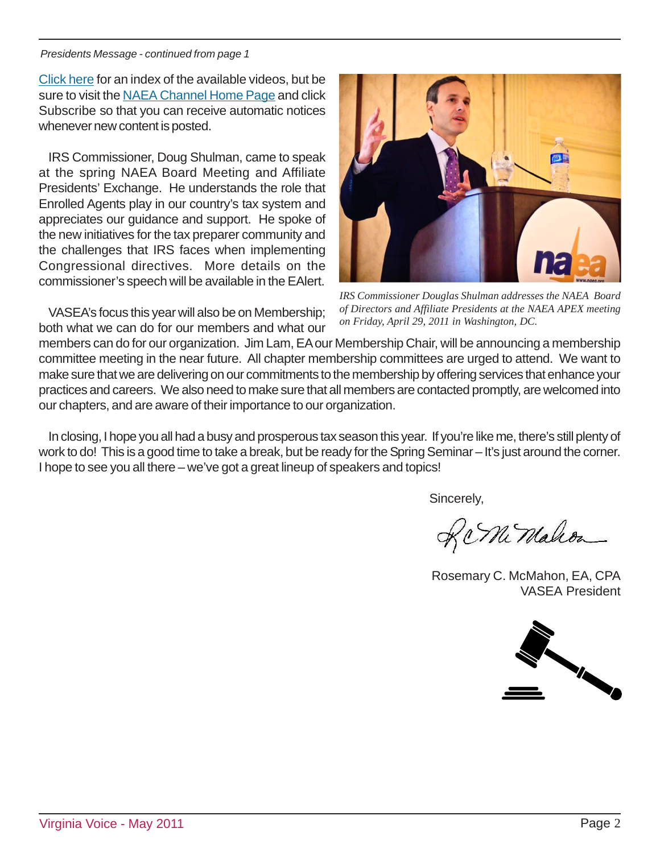#### *Presidents Message - continued from page 1*

[Click here](http://www.naea.org/MemberPortal/About/NewsRoom/NAEA_YouTube_Channel.htm) for an index of the available videos, but be sure to visit the [NAEA Channel Home Page](http://www.youtube.com/user/NAEAChannel) and click Subscribe so that you can receive automatic notices whenever new content is posted.

IRS Commissioner, Doug Shulman, came to speak at the spring NAEA Board Meeting and Affiliate Presidents' Exchange. He understands the role that Enrolled Agents play in our country's tax system and appreciates our guidance and support. He spoke of the new initiatives for the tax preparer community and the challenges that IRS faces when implementing Congressional directives. More details on the commissioner's speech will be available in the EAlert.

VASEA's focus this year will also be on Membership; both what we can do for our members and what our



*IRS Commissioner Douglas Shulman addresses the NAEA Board of Directors and Affiliate Presidents at the NAEA APEX meeting on Friday, April 29, 2011 in Washington, DC.*

members can do for our organization. Jim Lam, EA our Membership Chair, will be announcing a membership committee meeting in the near future. All chapter membership committees are urged to attend. We want to make sure that we are delivering on our commitments to the membership by offering services that enhance your practices and careers. We also need to make sure that all members are contacted promptly, are welcomed into our chapters, and are aware of their importance to our organization.

In closing, I hope you all had a busy and prosperous tax season this year. If you're like me, there's still plenty of work to do! This is a good time to take a break, but be ready for the Spring Seminar – It's just around the corner. I hope to see you all there – we've got a great lineup of speakers and topics!

Sincerely,

Rc Mi Malcon

Rosemary C. McMahon, EA, CPA VASEA President

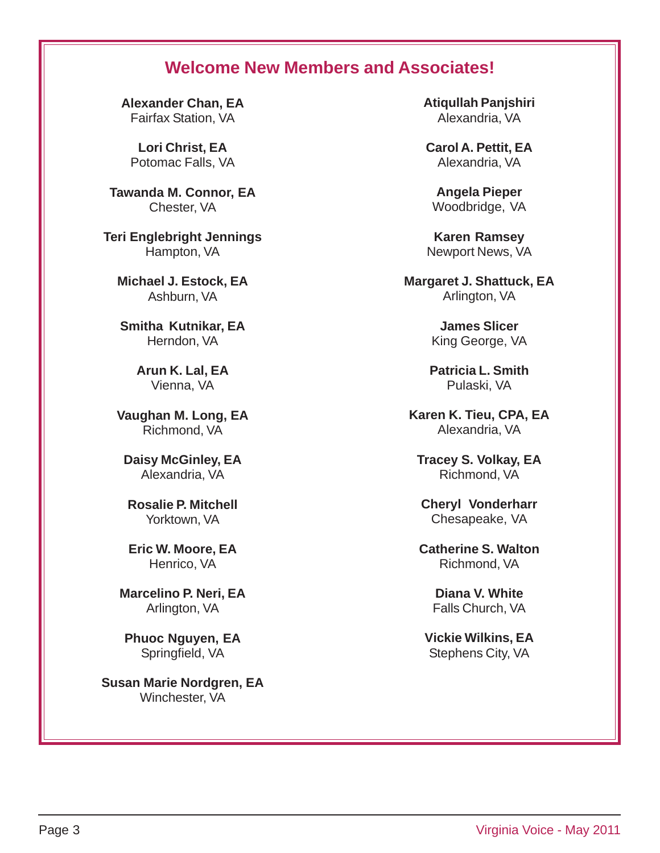## **Welcome New Members and Associates!**

**Alexander Chan, EA** Fairfax Station, VA

**Lori Christ, EA** Potomac Falls, VA

**Tawanda M. Connor, EA** Chester, VA

**Teri Englebright Jennings** Hampton, VA

**Michael J. Estock, EA** Ashburn, VA

**Smitha Kutnikar, EA** Herndon, VA

> **Arun K. Lal, EA** Vienna, VA

**Vaughan M. Long, EA** Richmond, VA

**Daisy McGinley, EA** Alexandria, VA

**Rosalie P. Mitchell** Yorktown, VA

**Eric W. Moore, EA** Henrico, VA

**Marcelino P. Neri, EA** Arlington, VA

**Phuoc Nguyen, EA** Springfield, VA

**Susan Marie Nordgren, EA** Winchester, VA

**Atiqullah Panjshiri** Alexandria, VA

**Carol A. Pettit, EA** Alexandria, VA

**Angela Pieper** Woodbridge, VA

**Karen Ramsey** Newport News, VA

**Margaret J. Shattuck, EA** Arlington, VA

> **James Slicer** King George, VA

**Patricia L. Smith** Pulaski, VA

**Karen K. Tieu, CPA, EA** Alexandria, VA

**Tracey S. Volkay, EA** Richmond, VA

**Cheryl Vonderharr** Chesapeake, VA

**Catherine S. Walton** Richmond, VA

> **Diana V. White** Falls Church, VA

**Vickie Wilkins, EA** Stephens City, VA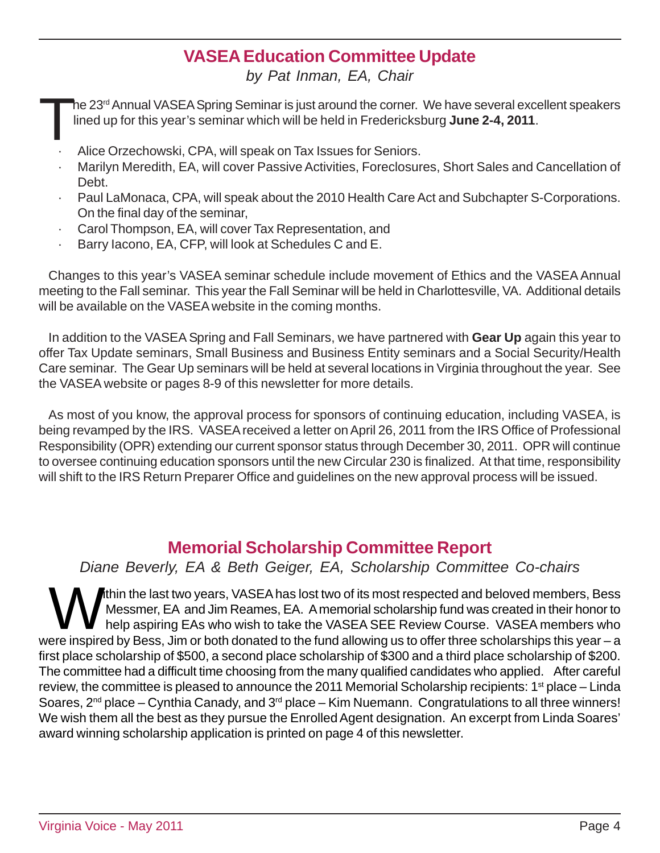## **VASEA Education Committee Update**

*by Pat Inman, EA, Chair*

The 23<sup>rd</sup> Annual VASEA Spring Seminar is just around the corner. We have several excellent speakers<br>lined up for this year's seminar which will be held in Fredericksburg **June 2-4, 2011**. lined up for this year's seminar which will be held in Fredericksburg **June 2-4, 2011**.

- Alice Orzechowski, CPA, will speak on Tax Issues for Seniors.
- Marilyn Meredith, EA, will cover Passive Activities, Foreclosures, Short Sales and Cancellation of Debt.
- · Paul LaMonaca, CPA, will speak about the 2010 Health Care Act and Subchapter S-Corporations. On the final day of the seminar,
- Carol Thompson, EA, will cover Tax Representation, and
- Barry Iacono, EA, CFP, will look at Schedules C and E.

Changes to this year's VASEA seminar schedule include movement of Ethics and the VASEA Annual meeting to the Fall seminar. This year the Fall Seminar will be held in Charlottesville, VA. Additional details will be available on the VASEA website in the coming months.

In addition to the VASEA Spring and Fall Seminars, we have partnered with **Gear Up** again this year to offer Tax Update seminars, Small Business and Business Entity seminars and a Social Security/Health Care seminar. The Gear Up seminars will be held at several locations in Virginia throughout the year. See the VASEA website or pages 8-9 of this newsletter for more details.

As most of you know, the approval process for sponsors of continuing education, including VASEA, is being revamped by the IRS. VASEA received a letter on April 26, 2011 from the IRS Office of Professional Responsibility (OPR) extending our current sponsor status through December 30, 2011. OPR will continue to oversee continuing education sponsors until the new Circular 230 is finalized. At that time, responsibility will shift to the IRS Return Preparer Office and guidelines on the new approval process will be issued.

## **Memorial Scholarship Committee Report**

*Diane Beverly, EA & Beth Geiger, EA, Scholarship Committee Co-chairs*

Within the last two years, VASEA has lost two of its most respected and beloved members, Bess<br>Messmer, EA and Jim Reames, EA. A memorial scholarship fund was created in their honor to<br>help aspiring EAs who wish to take the Messmer, EA and Jim Reames, EA.A memorial scholarship fund was created in their honor to help aspiring EAs who wish to take the VASEA SEE Review Course. VASEA members who were inspired by Bess, Jim or both donated to the fund allowing us to offer three scholarships this year – a first place scholarship of \$500, a second place scholarship of \$300 and a third place scholarship of \$200. The committee had a difficult time choosing from the many qualified candidates who applied. After careful review, the committee is pleased to announce the 2011 Memorial Scholarship recipients:  $1<sup>st</sup>$  place – Linda Soares,  $2^{nd}$  place – Cynthia Canady, and  $3^{rd}$  place – Kim Nuemann. Congratulations to all three winners! We wish them all the best as they pursue the Enrolled Agent designation. An excerpt from Linda Soares' award winning scholarship application is printed on page 4 of this newsletter.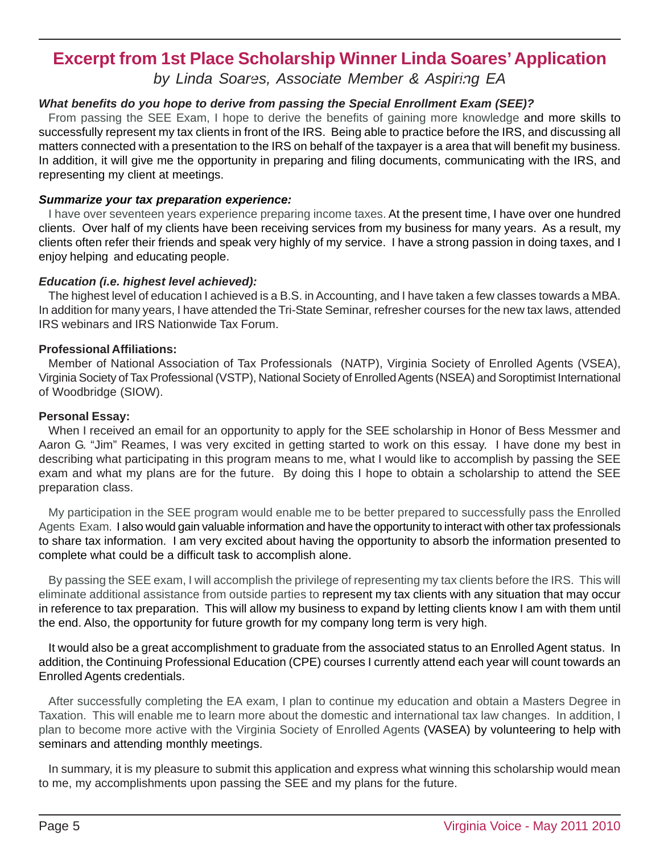## **Excerpt from 1st Place Scholarship Winner Linda Soares' Application**

*by Linda Soares, Associate Member & Aspiring EA* **2 3**

### *What benefits do you hope to derive from passing the Special Enrollment Exam (SEE)?*

From passing the SEE Exam, I hope to derive the benefits of gaining more knowledge and more skills to successfully represent my tax clients in front of the IRS. Being able to practice before the IRS, and discussing all matters connected with a presentation to the IRS on behalf of the taxpayer is a area that will benefit my business. In addition, it will give me the opportunity in preparing and filing documents, communicating with the IRS, and representing my client at meetings.

### *Summarize your tax preparation experience:*

**4** clients often refer their friends and speak very highly of my service. I have a strong passion in doing taxes, and I I have over seventeen years experience preparing income taxes. At the present time, I have over one hundred clients. Over half of my clients have been receiving services from my business for many years. As a result, my enjoy helping and educating people.

### *Education (i.e. highest level achieved):*

The highest level of education I achieved is a B.S. in Accounting, and I have taken a few classes towards a MBA. In addition for many years, I have attended the Tri-State Seminar, refresher courses for the new tax laws, attended IRS webinars and IRS Nationwide Tax Forum.

### **Professional Affiliations:**

Member of National Association of Tax Professionals (NATP), Virginia Society of Enrolled Agents (VSEA), Virginia Society of Tax Professional (VSTP), National Society of Enrolled Agents (NSEA) and Soroptimist International of Woodbridge (SIOW).

### **6 8 Personal Essay:**

When I received an email for an opportunity to apply for the SEE scholarship in Honor of Bess Messmer and Aaron G. "Jim" Reames, I was very excited in getting started to work on this essay. I have done my best in describing what participating in this program means to me, what I would like to accomplish by passing the SEE exam and what my plans are for the future. By doing this I hope to obtain a scholarship to attend the SEE preparation class.

8 Agents Exam. I also would gain valuable information and have the opportunity to interact with other tax professionals My participation in the SEE program would enable me to be better prepared to successfully pass the Enrolled to share tax information. I am very excited about having the opportunity to absorb the information presented to complete what could be a difficult task to accomplish alone.

**9** eliminate additional assistance from outside parties to represent my tax clients with any situation that may occur By passing the SEE exam, I will accomplish the privilege of representing my tax clients before the IRS. This will in reference to tax preparation. This will allow my business to expand by letting clients know I am with them until the end. Also, the opportunity for future growth for my company long term is very high.

It would also be a great accomplishment to graduate from the associated status to an Enrolled Agent status. In addition, the Continuing Professional Education (CPE) courses I currently attend each year will count towards an Enrolled Agents credentials.

After successfully completing the EA exam, I plan to continue my education and obtain a Masters Degree in Taxation. This will enable me to learn more about the domestic and international tax law changes. In addition, I plan to become more active with the Virginia Society of Enrolled Agents (VASEA) by volunteering to help with seminars and attending monthly meetings.

In summary, it is my pleasure to submit this application and express what winning this scholarship would mean to me, my accomplishments upon passing the SEE and my plans for the future.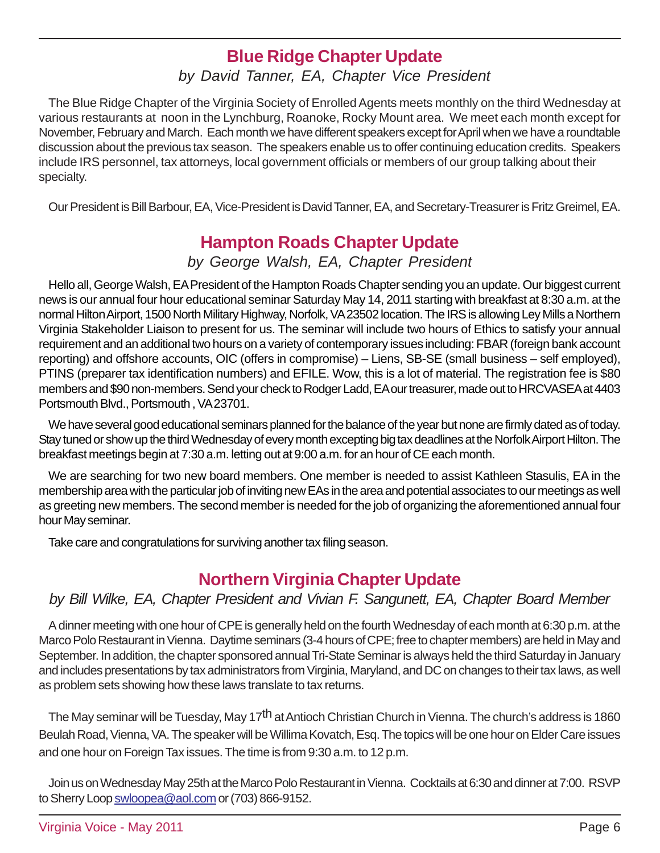## **Blue Ridge Chapter Update**

## *by David Tanner, EA, Chapter Vice President*

The Blue Ridge Chapter of the Virginia Society of Enrolled Agents meets monthly on the third Wednesday at various restaurants at noon in the Lynchburg, Roanoke, Rocky Mount area. We meet each month except for November, February and March. Each month we have different speakers except for April when we have a roundtable discussion about the previous tax season. The speakers enable us to offer continuing education credits. Speakers include IRS personnel, tax attorneys, local government officials or members of our group talking about their specialty.

Our President is Bill Barbour, EA, Vice-President is David Tanner, EA, and Secretary-Treasurer is Fritz Greimel, EA.

## **Hampton Roads Chapter Update**

### *by George Walsh, EA, Chapter President*

Hello all, George Walsh, EA President of the Hampton Roads Chapter sending you an update. Our biggest current news is our annual four hour educational seminar Saturday May 14, 2011 starting with breakfast at 8:30 a.m. at the normal Hilton Airport, 1500 North Military Highway, Norfolk, VA 23502 location. The IRS is allowing Ley Mills a Northern Virginia Stakeholder Liaison to present for us. The seminar will include two hours of Ethics to satisfy your annual requirement and an additional two hours on a variety of contemporary issues including: FBAR (foreign bank account reporting) and offshore accounts, OIC (offers in compromise) – Liens, SB-SE (small business – self employed), PTINS (preparer tax identification numbers) and EFILE. Wow, this is a lot of material. The registration fee is \$80 members and \$90 non-members. Send your check to Rodger Ladd, EA our treasurer, made out to HRCVASEA at 4403 Portsmouth Blvd., Portsmouth , VA 23701.

We have several good educational seminars planned for the balance of the year but none are firmly dated as of today. Stay tuned or show up the third Wednesday of every month excepting big tax deadlines at the Norfolk Airport Hilton. The breakfast meetings begin at 7:30 a.m. letting out at 9:00 a.m. for an hour of CE each month.

We are searching for two new board members. One member is needed to assist Kathleen Stasulis, EA in the membership area with the particular job of inviting new EAs in the area and potential associates to our meetings as well as greeting new members. The second member is needed for the job of organizing the aforementioned annual four hour May seminar.

Take care and congratulations for surviving another tax filing season.

## **Northern Virginia Chapter Update**

### *by Bill Wilke, EA, Chapter President and Vivian F. Sangunett, EA, Chapter Board Member*

A dinner meeting with one hour of CPE is generally held on the fourth Wednesday of each month at 6:30 p.m. at the Marco Polo Restaurant in Vienna. Daytime seminars (3-4 hours of CPE; free to chapter members) are held in May and September. In addition, the chapter sponsored annual Tri-State Seminar is always held the third Saturday in January and includes presentations by tax administrators from Virginia, Maryland, and DC on changes to their tax laws, as well as problem sets showing how these laws translate to tax returns.

The May seminar will be Tuesday, May 17<sup>th</sup> at Antioch Christian Church in Vienna. The church's address is 1860 Beulah Road, Vienna, VA. The speaker will be Willima Kovatch, Esq. The topics will be one hour on Elder Care issues and one hour on Foreign Tax issues. The time is from 9:30 a.m. to 12 p.m.

Join us on Wednesday May 25th at the Marco Polo Restaurant in Vienna. Cocktails at 6:30 and dinner at 7:00. RSVP to Sherry Loop swloopea@aol.com or (703) 866-9152.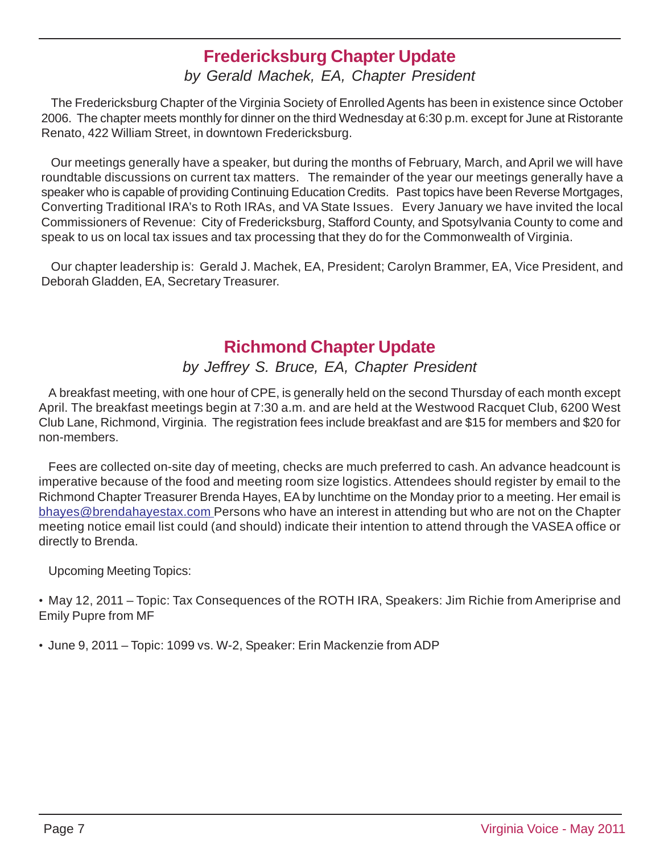## **Fredericksburg Chapter Update**

## *by Gerald Machek, EA, Chapter President*

The Fredericksburg Chapter of the Virginia Society of Enrolled Agents has been in existence since October 2006. The chapter meets monthly for dinner on the third Wednesday at 6:30 p.m. except for June at Ristorante Renato, 422 William Street, in downtown Fredericksburg.

Our meetings generally have a speaker, but during the months of February, March, and April we will have roundtable discussions on current tax matters. The remainder of the year our meetings generally have a speaker who is capable of providing Continuing Education Credits. Past topics have been Reverse Mortgages, Converting Traditional IRA's to Roth IRAs, and VA State Issues. Every January we have invited the local Commissioners of Revenue: City of Fredericksburg, Stafford County, and Spotsylvania County to come and speak to us on local tax issues and tax processing that they do for the Commonwealth of Virginia.

Our chapter leadership is: Gerald J. Machek, EA, President; Carolyn Brammer, EA, Vice President, and Deborah Gladden, EA, Secretary Treasurer.

## **Richmond Chapter Update**

## *by Jeffrey S. Bruce, EA, Chapter President*

A breakfast meeting, with one hour of CPE, is generally held on the second Thursday of each month except April. The breakfast meetings begin at 7:30 a.m. and are held at the Westwood Racquet Club, 6200 West Club Lane, Richmond, Virginia. The registration fees include breakfast and are \$15 for members and \$20 for non-members.

Fees are collected on-site day of meeting, checks are much preferred to cash. An advance headcount is imperative because of the food and meeting room size logistics. Attendees should register by email to the Richmond Chapter Treasurer Brenda Hayes, EA by lunchtime on the Monday prior to a meeting. Her email is bhayes@brendahayestax.com Persons who have an interest in attending but who are not on the Chapter meeting notice email list could (and should) indicate their intention to attend through the VASEA office or directly to Brenda.

Upcoming Meeting Topics:

• May 12, 2011 – Topic: Tax Consequences of the ROTH IRA, Speakers: Jim Richie from Ameriprise and Emily Pupre from MF

• June 9, 2011 – Topic: 1099 vs. W-2, Speaker: Erin Mackenzie from ADP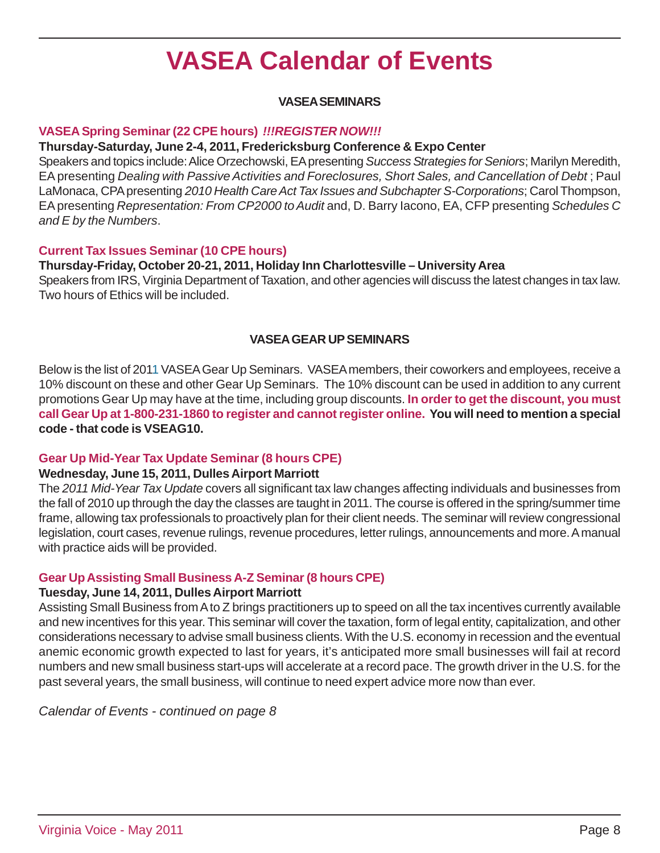## **VASEA Calendar of Events**

### **VASEA SEMINARS**

### **VASEA Spring Seminar (22 CPE hours)** *!!!REGISTER NOW!!!*

### **Thursday-Saturday, June 2-4, 2011, Fredericksburg Conference & Expo Center**

Speakers and topics include: Alice Orzechowski, EA presenting *Success Strategies for Seniors*; Marilyn Meredith, EA presenting *Dealing with Passive Activities and Foreclosures, Short Sales, and Cancellation of Debt* ; Paul LaMonaca, CPA presenting *2010 Health Care Act Tax Issues and Subchapter S-Corporations*; Carol Thompson, EA presenting *Representation: From CP2000 to Audit* and, D. Barry Iacono, EA, CFP presenting *Schedules C and E by the Numbers*.

### **Current Tax Issues Seminar (10 CPE hours)**

### **Thursday-Friday, October 20-21, 2011, Holiday Inn Charlottesville – University Area**

Speakers from IRS, Virginia Department of Taxation, and other agencies will discuss the latest changes in tax law. Two hours of Ethics will be included.

### **VASEA GEAR UP SEMINARS**

Below is the list of 2011 VASEA Gear Up Seminars. VASEA members, their coworkers and employees, receive a 10% discount on these and other Gear Up Seminars. The 10% discount can be used in addition to any current promotions Gear Up may have at the time, including group discounts. **In order to get the discount, you must call Gear Up at 1-800-231-1860 to register and cannot register online. You will need to mention a special code - that code is VSEAG10.**

### **Gear Up Mid-Year Tax Update Seminar (8 hours CPE)**

#### **Wednesday, June 15, 2011, Dulles Airport Marriott**

The *2011 Mid-Year Tax Update* covers all significant tax law changes affecting individuals and businesses from the fall of 2010 up through the day the classes are taught in 2011. The course is offered in the spring/summer time frame, allowing tax professionals to proactively plan for their client needs. The seminar will review congressional legislation, court cases, revenue rulings, revenue procedures, letter rulings, announcements and more. A manual with practice aids will be provided.

### **Gear Up Assisting Small Business A-Z Seminar (8 hours CPE)**

### **Tuesday, June 14, 2011, Dulles Airport Marriott**

Assisting Small Business from A to Z brings practitioners up to speed on all the tax incentives currently available and new incentives for this year. This seminar will cover the taxation, form of legal entity, capitalization, and other considerations necessary to advise small business clients. With the U.S. economy in recession and the eventual anemic economic growth expected to last for years, it's anticipated more small businesses will fail at record numbers and new small business start-ups will accelerate at a record pace. The growth driver in the U.S. for the past several years, the small business, will continue to need expert advice more now than ever.

*Calendar of Events - continued on page 8*